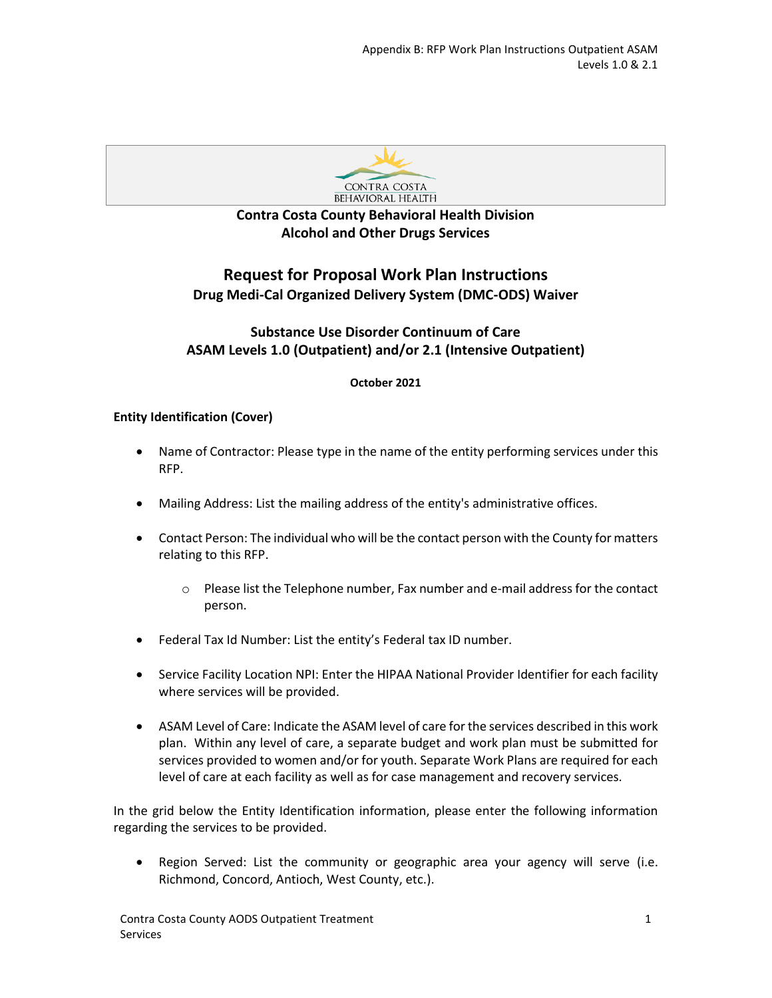

# **Contra Costa County Behavioral Health Division Alcohol and Other Drugs Services**

# **Request for Proposal Work Plan Instructions Drug Medi-Cal Organized Delivery System (DMC-ODS) Waiver**

# **Substance Use Disorder Continuum of Care ASAM Levels 1.0 (Outpatient) and/or 2.1 (Intensive Outpatient)**

## **October 2021**

## **Entity Identification (Cover)**

- Name of Contractor: Please type in the name of the entity performing services under this RFP.
- Mailing Address: List the mailing address of the entity's administrative offices.
- Contact Person: The individual who will be the contact person with the County for matters relating to this RFP.
	- $\circ$  Please list the Telephone number, Fax number and e-mail address for the contact person.
- Federal Tax Id Number: List the entity's Federal tax ID number.
- Service Facility Location NPI: Enter the HIPAA National Provider Identifier for each facility where services will be provided.
- ASAM Level of Care: Indicate the ASAM level of care for the services described in this work plan. Within any level of care, a separate budget and work plan must be submitted for services provided to women and/or for youth. Separate Work Plans are required for each level of care at each facility as well as for case management and recovery services.

In the grid below the Entity Identification information, please enter the following information regarding the services to be provided.

• Region Served: List the community or geographic area your agency will serve (i.e. Richmond, Concord, Antioch, West County, etc.).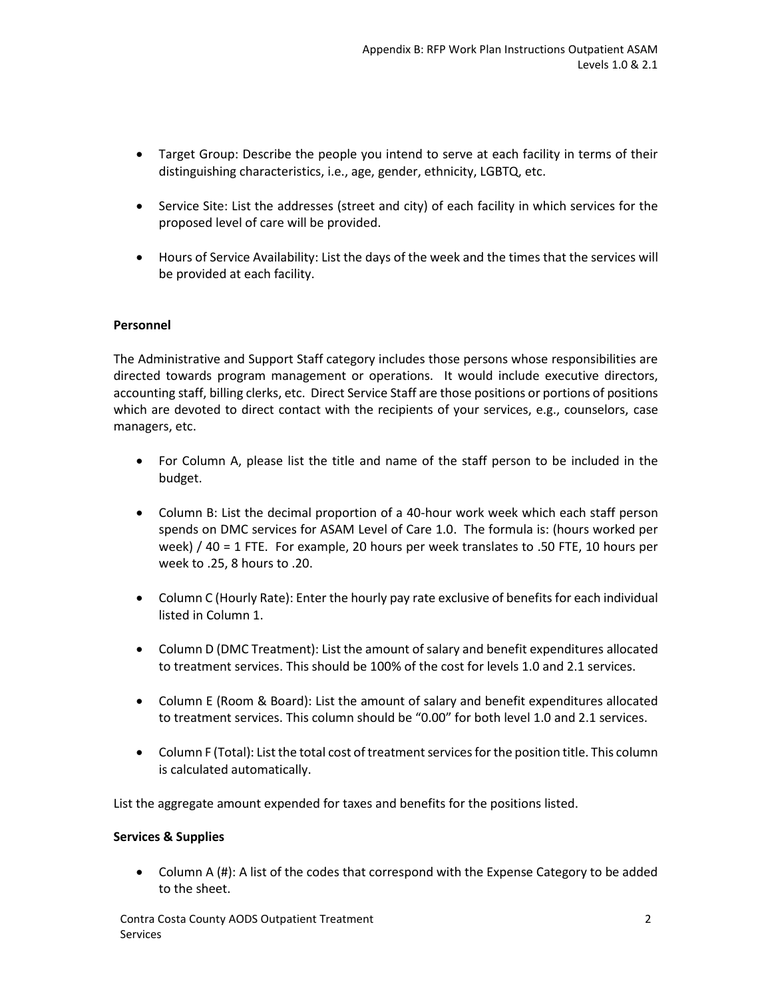- Target Group: Describe the people you intend to serve at each facility in terms of their distinguishing characteristics, i.e., age, gender, ethnicity, LGBTQ, etc.
- Service Site: List the addresses (street and city) of each facility in which services for the proposed level of care will be provided.
- Hours of Service Availability: List the days of the week and the times that the services will be provided at each facility.

### **Personnel**

The Administrative and Support Staff category includes those persons whose responsibilities are directed towards program management or operations. It would include executive directors, accounting staff, billing clerks, etc. Direct Service Staff are those positions or portions of positions which are devoted to direct contact with the recipients of your services, e.g., counselors, case managers, etc.

- For Column A, please list the title and name of the staff person to be included in the budget.
- Column B: List the decimal proportion of a 40-hour work week which each staff person spends on DMC services for ASAM Level of Care 1.0. The formula is: (hours worked per week) / 40 = 1 FTE. For example, 20 hours per week translates to .50 FTE, 10 hours per week to .25, 8 hours to .20.
- Column C (Hourly Rate): Enter the hourly pay rate exclusive of benefits for each individual listed in Column 1.
- Column D (DMC Treatment): List the amount of salary and benefit expenditures allocated to treatment services. This should be 100% of the cost for levels 1.0 and 2.1 services.
- Column E (Room & Board): List the amount of salary and benefit expenditures allocated to treatment services. This column should be "0.00" for both level 1.0 and 2.1 services.
- Column F (Total): List the total cost of treatment services for the position title. This column is calculated automatically.

List the aggregate amount expended for taxes and benefits for the positions listed.

#### **Services & Supplies**

• Column A (#): A list of the codes that correspond with the Expense Category to be added to the sheet.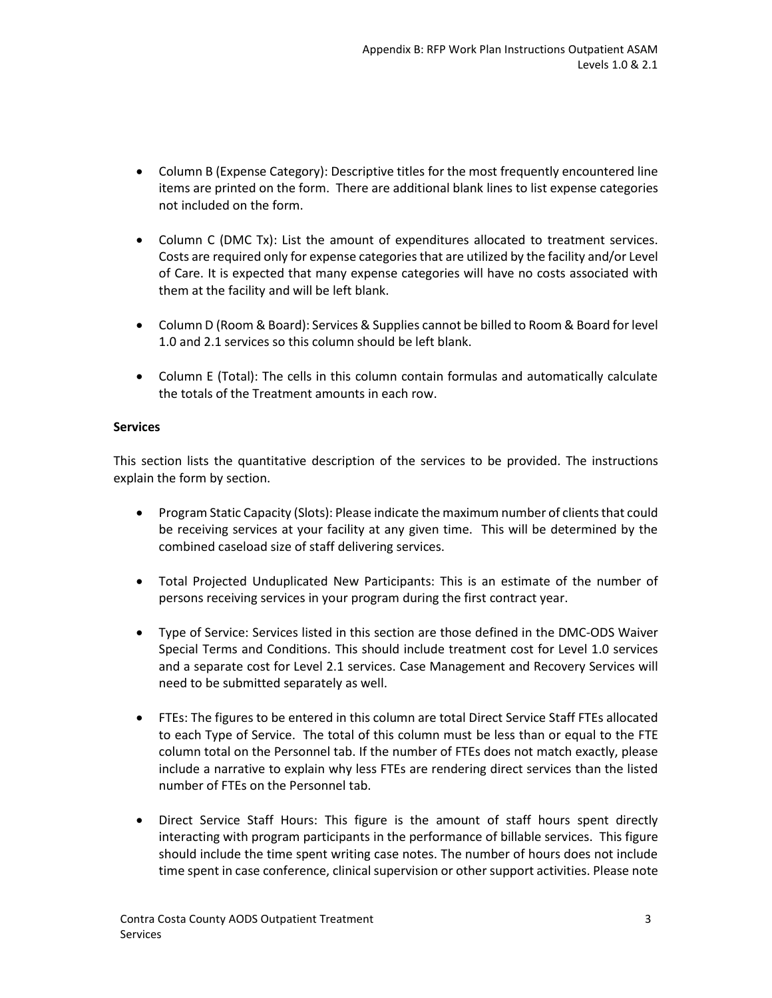- Column B (Expense Category): Descriptive titles for the most frequently encountered line items are printed on the form. There are additional blank lines to list expense categories not included on the form.
- Column C (DMC Tx): List the amount of expenditures allocated to treatment services. Costs are required only for expense categories that are utilized by the facility and/or Level of Care. It is expected that many expense categories will have no costs associated with them at the facility and will be left blank.
- Column D (Room & Board): Services & Supplies cannot be billed to Room & Board for level 1.0 and 2.1 services so this column should be left blank.
- Column E (Total): The cells in this column contain formulas and automatically calculate the totals of the Treatment amounts in each row.

### **Services**

This section lists the quantitative description of the services to be provided. The instructions explain the form by section.

- Program Static Capacity (Slots): Please indicate the maximum number of clients that could be receiving services at your facility at any given time. This will be determined by the combined caseload size of staff delivering services.
- Total Projected Unduplicated New Participants: This is an estimate of the number of persons receiving services in your program during the first contract year.
- Type of Service: Services listed in this section are those defined in the DMC-ODS Waiver Special Terms and Conditions. This should include treatment cost for Level 1.0 services and a separate cost for Level 2.1 services. Case Management and Recovery Services will need to be submitted separately as well.
- FTEs: The figures to be entered in this column are total Direct Service Staff FTEs allocated to each Type of Service. The total of this column must be less than or equal to the FTE column total on the Personnel tab. If the number of FTEs does not match exactly, please include a narrative to explain why less FTEs are rendering direct services than the listed number of FTEs on the Personnel tab.
- Direct Service Staff Hours: This figure is the amount of staff hours spent directly interacting with program participants in the performance of billable services. This figure should include the time spent writing case notes. The number of hours does not include time spent in case conference, clinical supervision or other support activities. Please note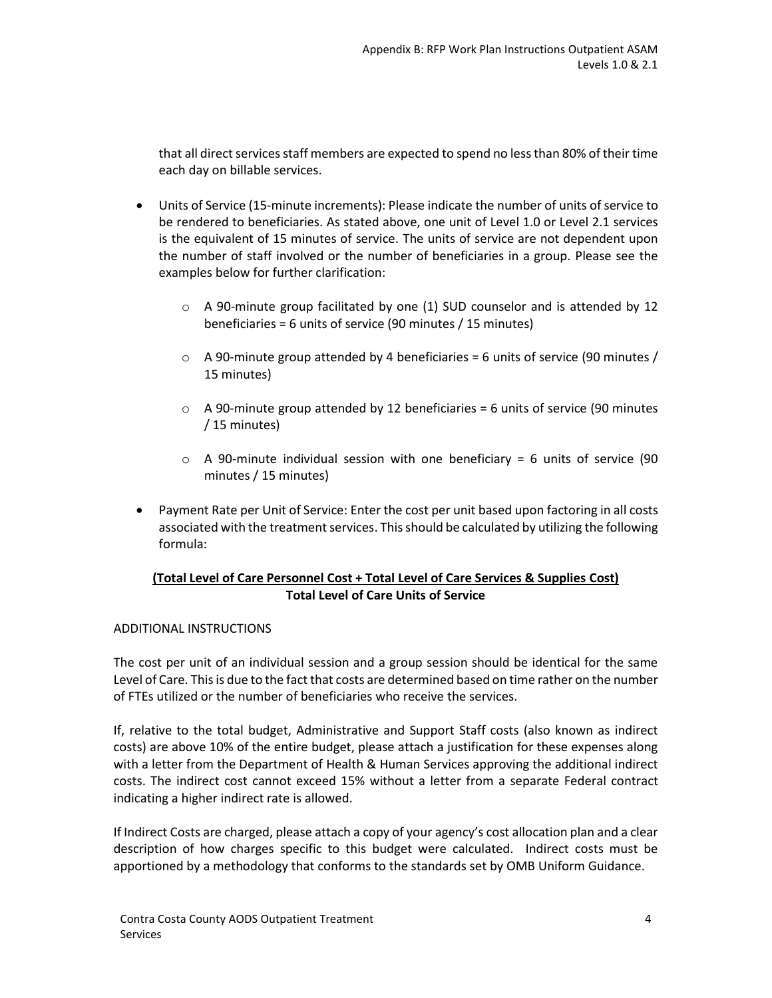that all direct services staff members are expected to spend no less than 80% of their time each day on billable services.

- Units of Service (15-minute increments): Please indicate the number of units of service to be rendered to beneficiaries. As stated above, one unit of Level 1.0 or Level 2.1 services is the equivalent of 15 minutes of service. The units of service are not dependent upon the number of staff involved or the number of beneficiaries in a group. Please see the examples below for further clarification:
	- $\circ$  A 90-minute group facilitated by one (1) SUD counselor and is attended by 12 beneficiaries = 6 units of service (90 minutes / 15 minutes)
	- $\circ$  A 90-minute group attended by 4 beneficiaries = 6 units of service (90 minutes / 15 minutes)
	- $\circ$  A 90-minute group attended by 12 beneficiaries = 6 units of service (90 minutes / 15 minutes)
	- $\circ$  A 90-minute individual session with one beneficiary = 6 units of service (90 minutes / 15 minutes)
- Payment Rate per Unit of Service: Enter the cost per unit based upon factoring in all costs associated with the treatment services. This should be calculated by utilizing the following formula:

### **(Total Level of Care Personnel Cost + Total Level of Care Services & Supplies Cost) Total Level of Care Units of Service**

#### ADDITIONAL INSTRUCTIONS

The cost per unit of an individual session and a group session should be identical for the same Level of Care. This is due to the fact that costs are determined based on time rather on the number of FTEs utilized or the number of beneficiaries who receive the services.

If, relative to the total budget, Administrative and Support Staff costs (also known as indirect costs) are above 10% of the entire budget, please attach a justification for these expenses along with a letter from the Department of Health & Human Services approving the additional indirect costs. The indirect cost cannot exceed 15% without a letter from a separate Federal contract indicating a higher indirect rate is allowed.

If Indirect Costs are charged, please attach a copy of your agency's cost allocation plan and a clear description of how charges specific to this budget were calculated. Indirect costs must be apportioned by a methodology that conforms to the standards set by OMB Uniform Guidance.